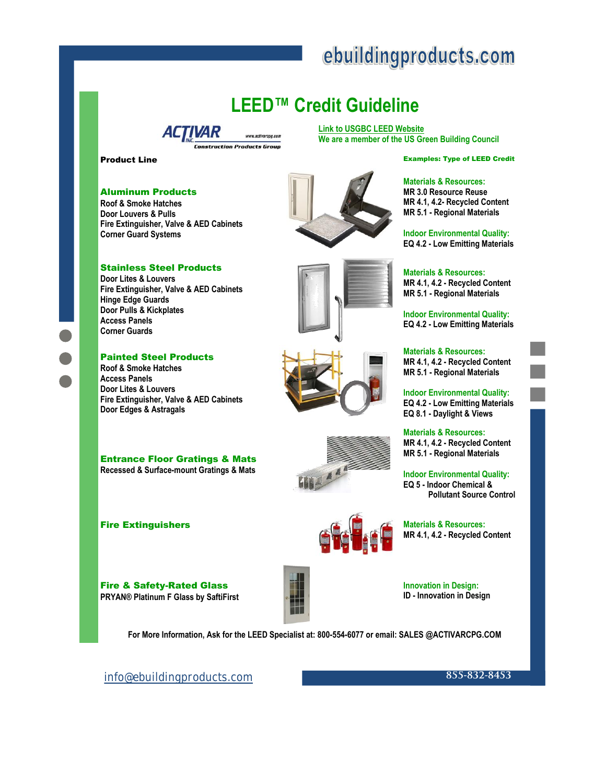# ebuildingproducts.com

## **LEED™ Credit Guideline**

**[Link to USGBC LEED Website](http://www.usgbc.org/DisplayPage.aspx?CMSPageID=220)  We are a member of the US Green Building Council** 

**Product Line** Examples: Type of LEED Credit

#### Aluminum Products

**Roof & Smoke Hatches Door Louvers & Pulls Fire Extinguisher, Valve & AED Cabinets Corner Guard Systems** 

*ACTIVAR* 

www.activarcon.com

onstruction Products Group



### **Materials & Resources:**

**MR 3.0 Resource Reuse MR 4.1, 4.2- Recycled Content MR 5.1 - Regional Materials** 

**Indoor Environmental Quality: EQ 4.2 - Low Emitting Materials** 

**Materials & Resources: MR 4.1, 4.2 - Recycled Content MR 5.1 - Regional Materials** 

**Indoor Environmental Quality: EQ 4.2 - Low Emitting Materials** 

**Materials & Resources: MR 4.1, 4.2 - Recycled Content MR 5.1 - Regional Materials** 

**Indoor Environmental Quality: EQ 4.2 - Low Emitting Materials EQ 8.1 - Daylight & Views** 

**Materials & Resources: MR 4.1, 4.2 - Recycled Content MR 5.1 - Regional Materials** 

**Indoor Environmental Quality: EQ 5 - Indoor Chemical & Pollutant Source Control** 

#### **Fire Extinguishers Materials & Resources: Materials & Resources: Materials & Resources: MR 4.1, 4.2 - Recycled Content**



**Innovation in Design: ID - Innovation in Design** 

**For More Information, Ask for the LEED Specialist at: 800-554-6077 or email: SALES @ACTIVARCPG.COM** 

Stainless Steel Products **Door Lites & Louvers** 

**Fire Extinguisher, Valve & AED Cabinets Hinge Edge Guards Door Pulls & Kickplates Access Panels Corner Guards** 

#### Painted Steel Products

**Roof & Smoke Hatches Access Panels Door Lites & Louvers Fire Extinguisher, Valve & AED Cabinets Door Edges & Astragals** 

Entrance Floor Gratings & Mats **Recessed & Surface-mount Gratings & Mats**